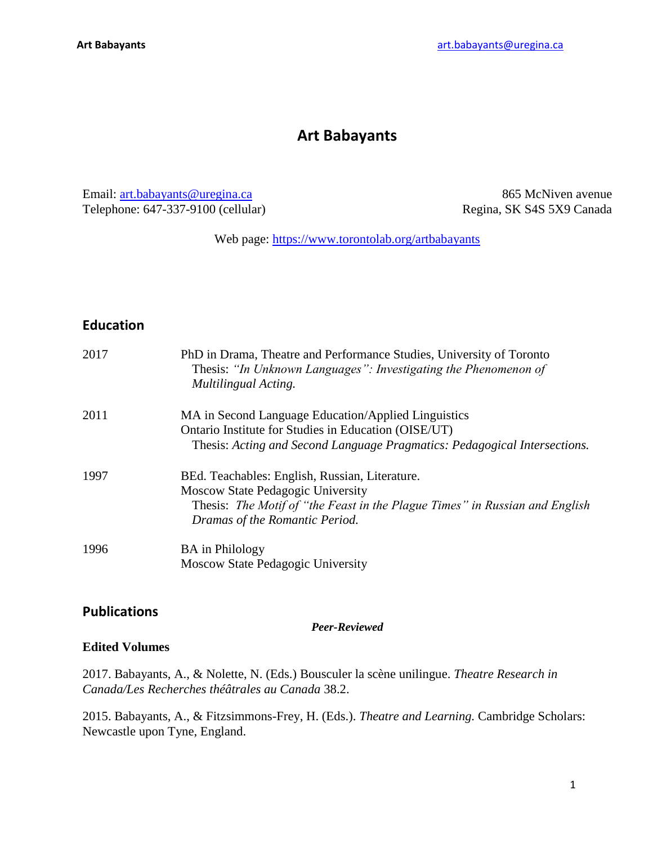# **Art Babayants**

Email: [art.babayants@uregina.ca](mailto:art.babayants@uregina.ca) Telephone: 647-337-9100 (cellular)

865 McNiven avenue Regina, SK S4S 5X9 Canada

Web page:<https://www.torontolab.org/artbabayants>

# **Education**

| 2017 | PhD in Drama, Theatre and Performance Studies, University of Toronto<br>Thesis: "In Unknown Languages": Investigating the Phenomenon of<br>Multilingual Acting.                                      |
|------|------------------------------------------------------------------------------------------------------------------------------------------------------------------------------------------------------|
| 2011 | MA in Second Language Education/Applied Linguistics<br>Ontario Institute for Studies in Education (OISE/UT)<br>Thesis: Acting and Second Language Pragmatics: Pedagogical Intersections.             |
| 1997 | BEd. Teachables: English, Russian, Literature.<br>Moscow State Pedagogic University<br>Thesis: The Motif of "the Feast in the Plague Times" in Russian and English<br>Dramas of the Romantic Period. |
| 1996 | <b>BA</b> in Philology<br>Moscow State Pedagogic University                                                                                                                                          |

# **Publications**

*Peer-Reviewed*

#### **Edited Volumes**

2017. Babayants, A., & Nolette, N. (Eds.) Bousculer la scène unilingue. *Theatre Research in Canada/Les Recherches théâtrales au Canada* 38.2.

2015. Babayants, A., & Fitzsimmons-Frey, H. (Eds.). *Theatre and Learning.* Cambridge Scholars: Newcastle upon Tyne, England.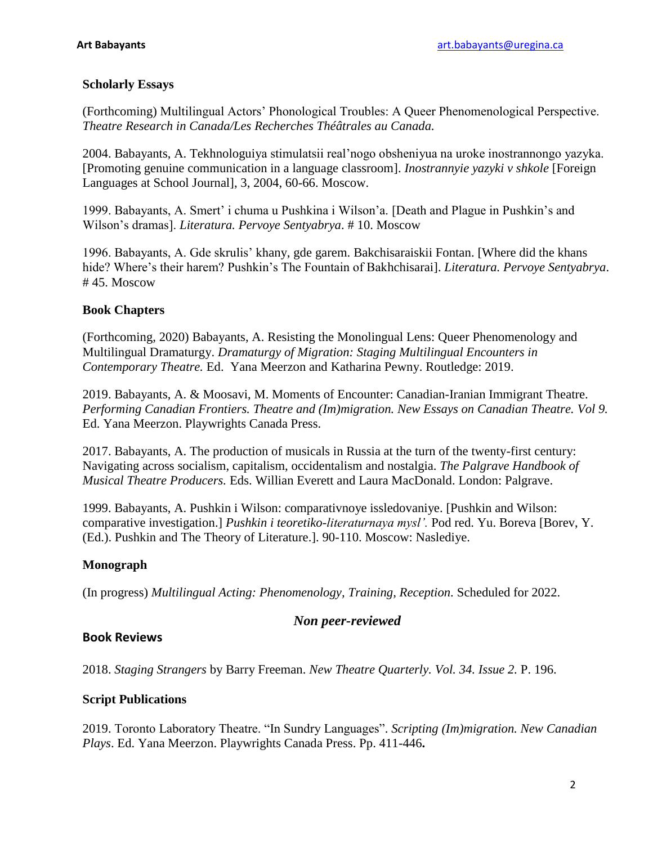### **Scholarly Essays**

(Forthcoming) Multilingual Actors' Phonological Troubles: A Queer Phenomenological Perspective. *Theatre Research in Canada/Les Recherches Théâtrales au Canada.*

2004. Babayants, A. Tekhnologuiya stimulatsii real'nogo obsheniyua na uroke inostrannongo yazyka. [Promoting genuine communication in a language classroom]. *Inostrannyie yazyki v shkole* [Foreign Languages at School Journal], 3, 2004, 60-66. Moscow.

1999. Babayants, A. Smert' i chuma u Pushkina i Wilson'a. [Death and Plague in Pushkin's and Wilson's dramas]. *Literatura. Pervoye Sentyabrya*. # 10. Moscow

1996. Babayants, A. Gde skrulis' khany, gde garem. Bakchisaraiskii Fontan. [Where did the khans hide? Where's their harem? Pushkin's The Fountain of Bakhchisarai]. *Literatura. Pervoye Sentyabrya*. # 45. Moscow

## **Book Chapters**

(Forthcoming, 2020) Babayants, A. Resisting the Monolingual Lens: Queer Phenomenology and Multilingual Dramaturgy. *Dramaturgy of Migration: Staging Multilingual Encounters in Contemporary Theatre.* Ed. Yana Meerzon and Katharina Pewny. Routledge: 2019.

2019. Babayants, A. & Moosavi, M. Moments of Encounter: Canadian-Iranian Immigrant Theatre. *Performing Canadian Frontiers. Theatre and (Im)migration. New Essays on Canadian Theatre. Vol 9.* Ed. Yana Meerzon. Playwrights Canada Press.

2017. Babayants, A. The production of musicals in Russia at the turn of the twenty-first century: Navigating across socialism, capitalism, occidentalism and nostalgia. *The Palgrave Handbook of Musical Theatre Producers.* Eds. Willian Everett and Laura MacDonald. London: Palgrave.

1999. Babayants, A. Pushkin i Wilson: comparativnoye issledovaniye. [Pushkin and Wilson: comparative investigation.] *Pushkin i teoretiko-literaturnaya mysl'.* Pod red. Yu. Boreva [Borev, Y. (Ed.). Pushkin and The Theory of Literature.]. 90-110. Moscow: Naslediye.

# **Monograph**

(In progress) *Multilingual Acting: Phenomenology, Training, Reception.* Scheduled for 2022.

# *Non peer-reviewed*

#### **Book Reviews**

2018. *Staging Strangers* by Barry Freeman. *New Theatre Quarterly. Vol. 34. Issue 2.* P. 196.

#### **Script Publications**

2019. Toronto Laboratory Theatre. "In Sundry Languages". *Scripting (Im)migration. New Canadian Plays*. Ed. Yana Meerzon. Playwrights Canada Press. Pp. 411-446**.**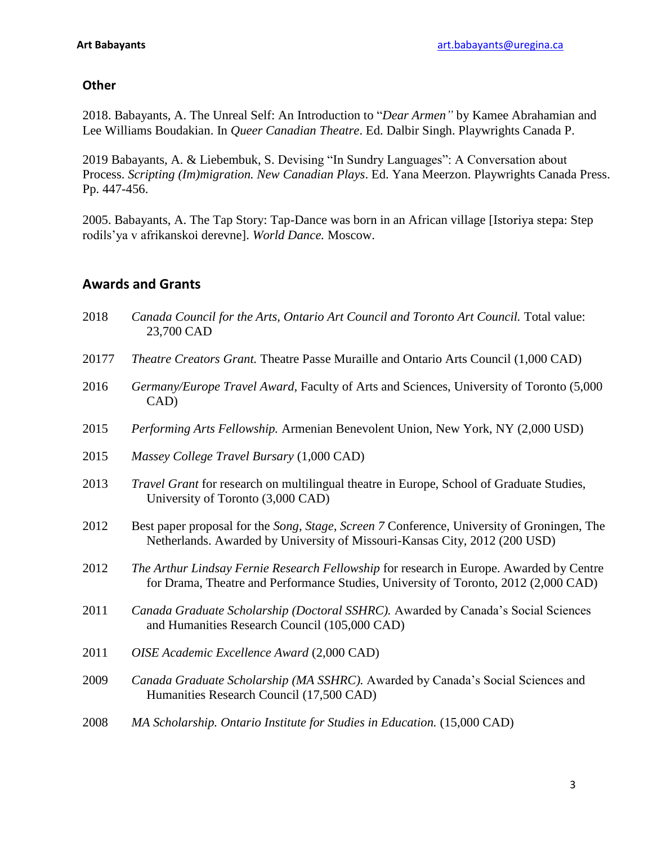## **Other**

2018. Babayants, A. The Unreal Self: An Introduction to "*Dear Armen"* by Kamee Abrahamian and Lee Williams Boudakian. In *Queer Canadian Theatre*. Ed. Dalbir Singh. Playwrights Canada P.

2019 Babayants, A. & Liebembuk, S. Devising "In Sundry Languages": A Conversation about Process. *Scripting (Im)migration. New Canadian Plays*. Ed. Yana Meerzon. Playwrights Canada Press. Pp. 447-456.

2005. Babayants, A. The Tap Story: Tap-Dance was born in an African village [Istoriya stepa: Step rodils'ya v afrikanskoi derevne]. *World Dance.* Moscow.

# **Awards and Grants**

- 2018 Canada Council for the Arts, Ontario Art Council and Toronto Art Council. Total value: 23,700 CAD
- 20177 *Theatre Creators Grant.* Theatre Passe Muraille and Ontario Arts Council (1,000 CAD)
- 2016 *Germany/Europe Travel Award,* Faculty of Arts and Sciences, University of Toronto (5,000 CAD)
- 2015 *Performing Arts Fellowship.* Armenian Benevolent Union, New York, NY (2,000 USD)
- 2015 *Massey College Travel Bursary* (1,000 CAD)
- 2013 *Travel Grant* for research on multilingual theatre in Europe, School of Graduate Studies, University of Toronto (3,000 CAD)
- 2012 Best paper proposal for the *Song, Stage, Screen 7* Conference, University of Groningen, The Netherlands. Awarded by University of Missouri-Kansas City, 2012 (200 USD)
- 2012 *The Arthur Lindsay Fernie Research Fellowship* for research in Europe. Awarded by Centre for Drama, Theatre and Performance Studies, University of Toronto, 2012 (2,000 CAD)
- 2011 *Canada Graduate Scholarship (Doctoral SSHRC).* Awarded by Canada's Social Sciences and Humanities Research Council (105,000 CAD)
- 2011 *OISE Academic Excellence Award* (2,000 CAD)
- 2009 *Canada Graduate Scholarship (MA SSHRC).* Awarded by Canada's Social Sciences and Humanities Research Council (17,500 CAD)
- 2008 *MA Scholarship. Ontario Institute for Studies in Education.* (15,000 CAD)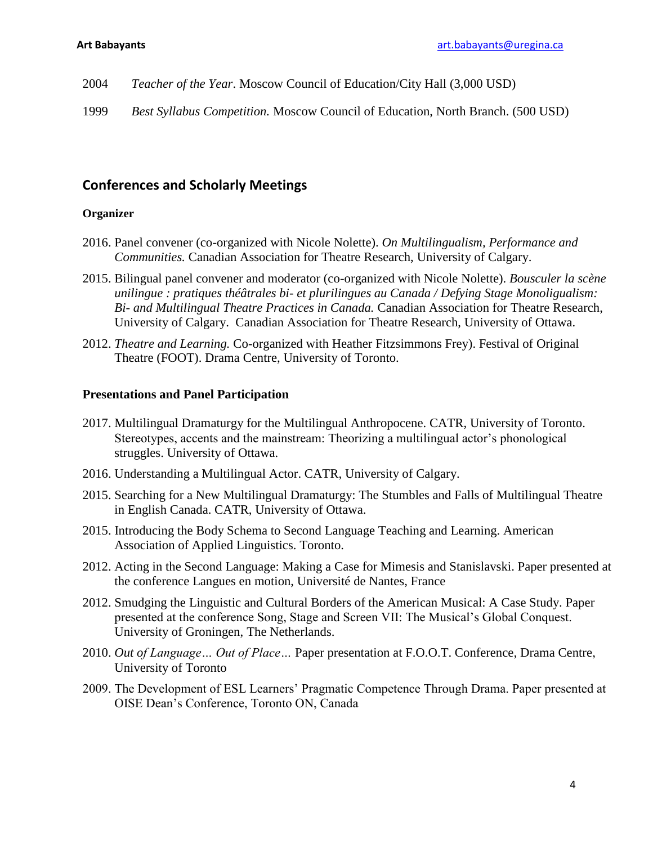- 2004 *Teacher of the Year*. Moscow Council of Education/City Hall (3,000 USD)
- 1999 *Best Syllabus Competition.* Moscow Council of Education, North Branch. (500 USD)

# **Conferences and Scholarly Meetings**

#### **Organizer**

- 2016. Panel convener (co-organized with Nicole Nolette). *On Multilingualism, Performance and Communities.* Canadian Association for Theatre Research, University of Calgary.
- 2015. Bilingual panel convener and moderator (co-organized with Nicole Nolette). *Bousculer la scène unilingue : pratiques théâtrales bi- et plurilingues au Canada / Defying Stage Monoligualism: Bi- and Multilingual Theatre Practices in Canada.* Canadian Association for Theatre Research, University of Calgary. Canadian Association for Theatre Research, University of Ottawa.
- 2012. *Theatre and Learning.* Co-organized with Heather Fitzsimmons Frey). Festival of Original Theatre (FOOT). Drama Centre, University of Toronto.

#### **Presentations and Panel Participation**

- 2017. Multilingual Dramaturgy for the Multilingual Anthropocene. CATR, University of Toronto. Stereotypes, accents and the mainstream: Theorizing a multilingual actor's phonological struggles. University of Ottawa.
- 2016. Understanding a Multilingual Actor. CATR, University of Calgary.
- 2015. Searching for a New Multilingual Dramaturgy: The Stumbles and Falls of Multilingual Theatre in English Canada. CATR, University of Ottawa.
- 2015. Introducing the Body Schema to Second Language Teaching and Learning. American Association of Applied Linguistics. Toronto.
- 2012. Acting in the Second Language: Making a Case for Mimesis and Stanislavski. Paper presented at the conference Langues en motion, Université de Nantes, France
- 2012. Smudging the Linguistic and Cultural Borders of the American Musical: A Case Study. Paper presented at the conference Song, Stage and Screen VII: The Musical's Global Conquest. University of Groningen, The Netherlands.
- 2010. *Out of Language… Out of Place…* Paper presentation at F.O.O.T. Conference*,* Drama Centre, University of Toronto
- 2009. The Development of ESL Learners' Pragmatic Competence Through Drama. Paper presented at OISE Dean's Conference, Toronto ON, Canada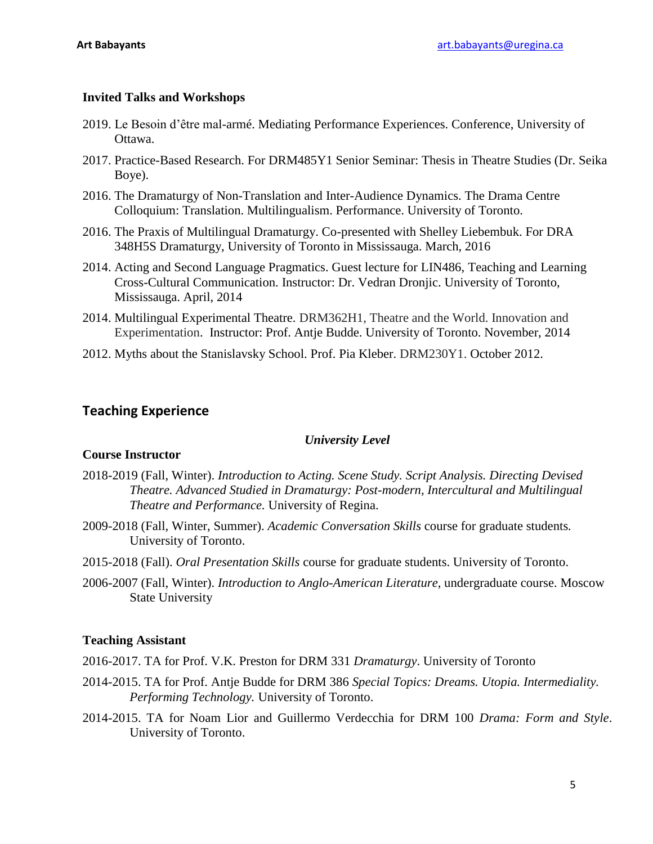# **Invited Talks and Workshops**

- 2019. Le Besoin d'être mal-armé. Mediating Performance Experiences. Conference, University of Ottawa.
- 2017. Practice-Based Research. For DRM485Y1 Senior Seminar: Thesis in Theatre Studies (Dr. Seika Boye).
- 2016. The Dramaturgy of Non-Translation and Inter-Audience Dynamics. The Drama Centre Colloquium: Translation. Multilingualism. Performance. University of Toronto.
- 2016. The Praxis of Multilingual Dramaturgy. Co-presented with Shelley Liebembuk. For DRA 348H5S Dramaturgy, University of Toronto in Mississauga. March, 2016
- 2014. Acting and Second Language Pragmatics. Guest lecture for LIN486, Teaching and Learning Cross-Cultural Communication. Instructor: Dr. Vedran Dronjic. University of Toronto, Mississauga. April, 2014
- 2014. Multilingual Experimental Theatre. DRM362H1, Theatre and the World. Innovation and Experimentation. Instructor: Prof. Antje Budde. University of Toronto. November, 2014
- 2012. Myths about the Stanislavsky School. Prof. Pia Kleber. DRM230Y1. October 2012.

# **Teaching Experience**

# *University Level*

# **Course Instructor**

- 2018-2019 (Fall, Winter). *Introduction to Acting. Scene Study. Script Analysis. Directing Devised Theatre. Advanced Studied in Dramaturgy: Post-modern, Intercultural and Multilingual Theatre and Performance.* University of Regina.
- 2009-2018 (Fall, Winter, Summer). *Academic Conversation Skills* course for graduate students*.*  University of Toronto.
- 2015-2018 (Fall). *Oral Presentation Skills* course for graduate students. University of Toronto.
- 2006-2007 (Fall, Winter). *Introduction to Anglo-American Literature*, undergraduate course. Moscow State University

# **Teaching Assistant**

2016-2017. TA for Prof. V.K. Preston for DRM 331 *Dramaturgy*. University of Toronto

- 2014-2015. TA for Prof. Antje Budde for DRM 386 *Special Topics: Dreams. Utopia. Intermediality. Performing Technology.* University of Toronto.
- 2014-2015. TA for Noam Lior and Guillermo Verdecchia for DRM 100 *Drama: Form and Style*. University of Toronto.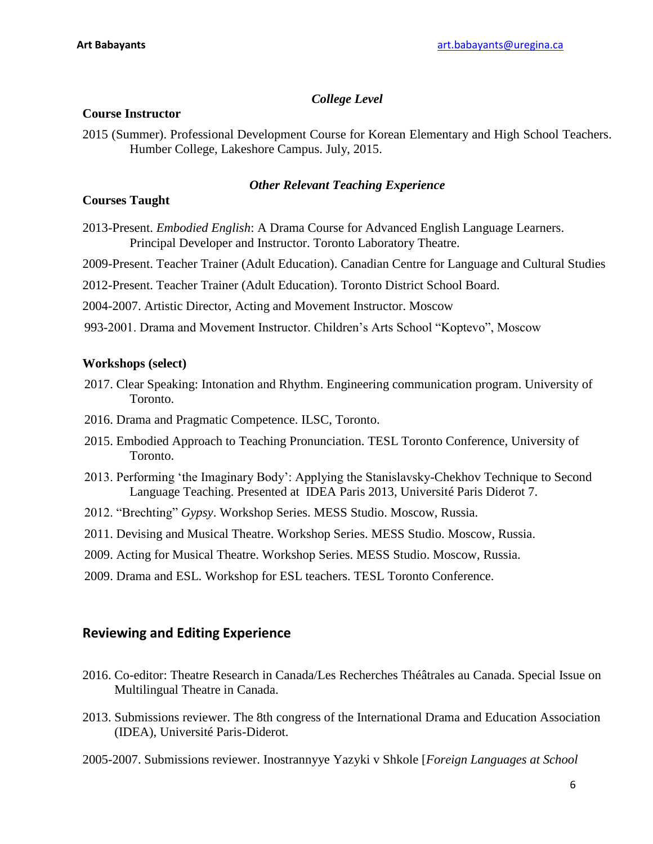# *College Level*

#### **Course Instructor**

2015 (Summer). Professional Development Course for Korean Elementary and High School Teachers. Humber College, Lakeshore Campus. July, 2015.

### *Other Relevant Teaching Experience*

### **Courses Taught**

2013-Present. *Embodied English*: A Drama Course for Advanced English Language Learners. Principal Developer and Instructor. Toronto Laboratory Theatre.

2009-Present. Teacher Trainer (Adult Education). Canadian Centre for Language and Cultural Studies

2012-Present. Teacher Trainer (Adult Education). Toronto District School Board.

2004-2007. Artistic Director, Acting and Movement Instructor. Moscow

993-2001. Drama and Movement Instructor. Children's Arts School "Koptevo", Moscow

#### **Workshops (select)**

- 2017. Clear Speaking: Intonation and Rhythm. Engineering communication program. University of Toronto.
- 2016. Drama and Pragmatic Competence. ILSC, Toronto.
- 2015. Embodied Approach to Teaching Pronunciation. TESL Toronto Conference, University of Toronto.
- 2013. Performing 'the Imaginary Body': Applying the Stanislavsky-Chekhov Technique to Second Language Teaching. Presented at IDEA Paris 2013, Université Paris Diderot 7.
- 2012. "Brechting" *Gypsy*. Workshop Series. MESS Studio. Moscow, Russia.
- 2011. Devising and Musical Theatre. Workshop Series. MESS Studio. Moscow, Russia.
- 2009. Acting for Musical Theatre. Workshop Series. MESS Studio. Moscow, Russia.
- 2009. Drama and ESL. Workshop for ESL teachers. TESL Toronto Conference.

# **Reviewing and Editing Experience**

- 2016. Co-editor: Theatre Research in Canada/Les Recherches Théâtrales au Canada. Special Issue on Multilingual Theatre in Canada.
- 2013. Submissions reviewer. The 8th congress of the International Drama and Education Association (IDEA), Université Paris-Diderot.
- 2005-2007. Submissions reviewer. Inostrannyye Yazyki v Shkole [*Foreign Languages at School*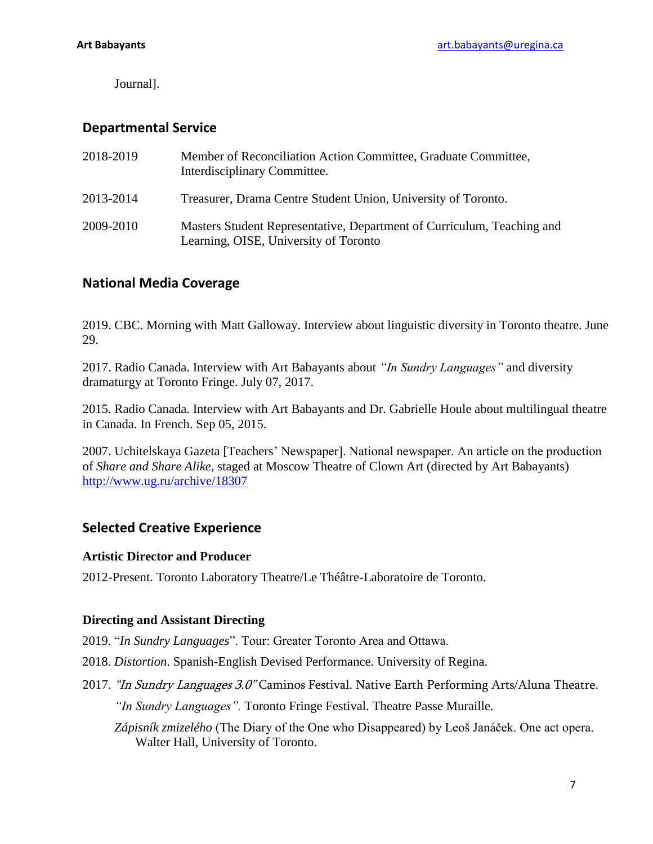Journal].

# **Departmental Service**

| 2018-2019 | Member of Reconciliation Action Committee, Graduate Committee,<br>Interdisciplinary Committee.                  |
|-----------|-----------------------------------------------------------------------------------------------------------------|
| 2013-2014 | Treasurer, Drama Centre Student Union, University of Toronto.                                                   |
| 2009-2010 | Masters Student Representative, Department of Curriculum, Teaching and<br>Learning, OISE, University of Toronto |

# **National Media Coverage**

2019. CBC. Morning with Matt Galloway. Interview about linguistic diversity in Toronto theatre. June 29.

2017. Radio Canada. Interview with Art Babayants about *"In Sundry Languages"* and diversity dramaturgy at Toronto Fringe. July 07, 2017.

2015. Radio Canada. Interview with Art Babayants and Dr. Gabrielle Houle about multilingual theatre in Canada. In French. Sep 05, 2015.

2007. Uchitelskaya Gazeta [Teachers' Newspaper]. National newspaper. An article on the production of *Share and Share Alike*, staged at Moscow Theatre of Clown Art (directed by Art Babayants) <http://www.ug.ru/archive/18307>

# **Selected Creative Experience**

# **Artistic Director and Producer**

2012-Present. Toronto Laboratory Theatre/Le Théâtre-Laboratoire de Toronto.

# **Directing and Assistant Directing**

2019. "*In Sundry Languages*". Tour: Greater Toronto Area and Ottawa.

- 2018. *Distortion*. Spanish-English Devised Performance. University of Regina.
- 2017. "In Sundry Languages 3.0" Caminos Festival. Native Earth Performing Arts/Aluna Theatre. *"In Sundry Languages".* Toronto Fringe Festival. Theatre Passe Muraille.
	- *Zápisník zmizelého* (The Diary of the One who Disappeared) by Leoš Janáček. One act opera. Walter Hall, University of Toronto.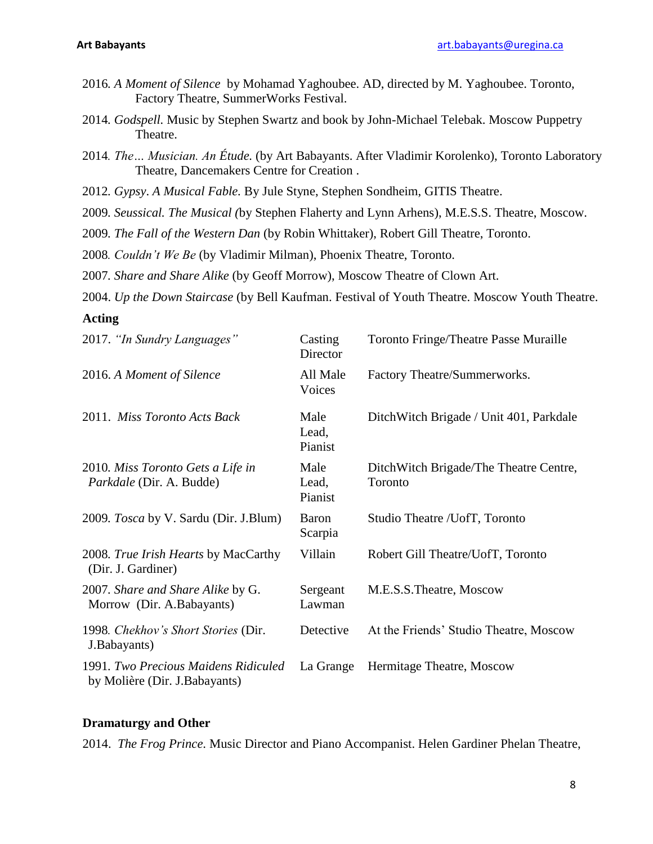- 2016*. A Moment of Silence* by Mohamad Yaghoubee. AD, directed by M. Yaghoubee. Toronto, Factory Theatre, SummerWorks Festival.
- 2014*. Godspell.* Music by Stephen Swartz and book by John-Michael Telebak. Moscow Puppetry Theatre.
- 2014*. The… Musician. An Étude.* (by Art Babayants. After Vladimir Korolenko), Toronto Laboratory Theatre, Dancemakers Centre for Creation .
- 2012*. Gypsy*. *A Musical Fable.* By Jule Styne, Stephen Sondheim, GITIS Theatre.
- 2009*. Seussical. The Musical (*by Stephen Flaherty and Lynn Arhens), M.E.S.S. Theatre, Moscow.
- 2009*. The Fall of the Western Dan* (by Robin Whittaker), Robert Gill Theatre, Toronto.
- 2008*. Couldn't We Be* (by Vladimir Milman), Phoenix Theatre, Toronto.
- 2007*. Share and Share Alike* (by Geoff Morrow), Moscow Theatre of Clown Art.
- 2004. *Up the Down Staircase* (by Bell Kaufman. Festival of Youth Theatre. Moscow Youth Theatre.

#### **Acting**

| 2017. "In Sundry Languages"                                           | Casting<br>Director      | <b>Toronto Fringe/Theatre Passe Muraille</b>      |
|-----------------------------------------------------------------------|--------------------------|---------------------------------------------------|
| 2016. A Moment of Silence                                             | All Male<br>Voices       | Factory Theatre/Summerworks.                      |
| 2011. Miss Toronto Acts Back                                          | Male<br>Lead,<br>Pianist | DitchWitch Brigade / Unit 401, Parkdale           |
| 2010. Miss Toronto Gets a Life in<br>Parkdale (Dir. A. Budde)         | Male<br>Lead,<br>Pianist | DitchWitch Brigade/The Theatre Centre,<br>Toronto |
| 2009. <i>Tosca</i> by V. Sardu (Dir. J.Blum)                          | <b>Baron</b><br>Scarpia  | Studio Theatre /UofT, Toronto                     |
| 2008. True Irish Hearts by MacCarthy<br>(Dir. J. Gardiner)            | Villain                  | Robert Gill Theatre/UofT, Toronto                 |
| 2007. Share and Share Alike by G.<br>Morrow (Dir. A.Babayants)        | Sergeant<br>Lawman       | M.E.S.S.Theatre, Moscow                           |
| 1998. Chekhov's Short Stories (Dir.<br>J.Babayants)                   | Detective                | At the Friends' Studio Theatre, Moscow            |
| 1991. Two Precious Maidens Ridiculed<br>by Molière (Dir. J.Babayants) | La Grange                | Hermitage Theatre, Moscow                         |

#### **Dramaturgy and Other**

2014. *The Frog Prince*. Music Director and Piano Accompanist. Helen Gardiner Phelan Theatre,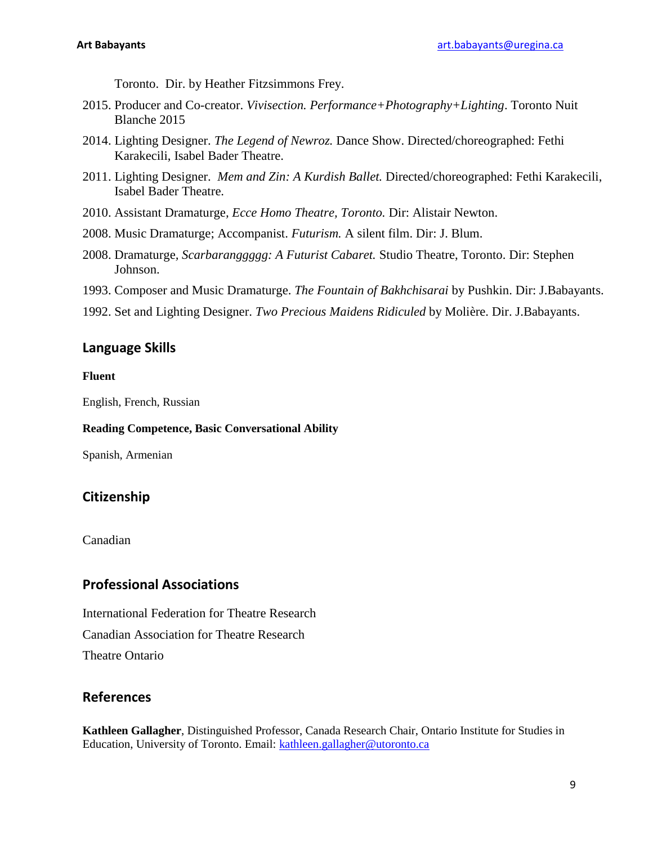Toronto. Dir. by Heather Fitzsimmons Frey.

- 2015. Producer and Co-creator. *Vivisection. Performance+Photography+Lighting*. Toronto Nuit Blanche 2015
- 2014. Lighting Designer. *The Legend of Newroz.* Dance Show. Directed/choreographed: Fethi Karakecili, Isabel Bader Theatre.
- 2011. Lighting Designer. *Mem and Zin: A Kurdish Ballet.* Directed/choreographed: Fethi Karakecili, Isabel Bader Theatre.
- 2010. Assistant Dramaturge*, Ecce Homo Theatre, Toronto.* Dir: Alistair Newton.
- 2008. Music Dramaturge; Accompanist. *Futurism.* A silent film. Dir: J. Blum.
- 2008. Dramaturge*, Scarbaranggggg: A Futurist Cabaret.* Studio Theatre, Toronto. Dir: Stephen Johnson.
- 1993. Composer and Music Dramaturge. *The Fountain of Bakhchisarai* by Pushkin. Dir: J.Babayants.
- 1992. Set and Lighting Designer. *Two Precious Maidens Ridiculed* by Molière. Dir. J.Babayants.

# **Language Skills**

#### **Fluent**

English, French, Russian

#### **Reading Competence, Basic Conversational Ability**

Spanish, Armenian

# **Citizenship**

Canadian

# **Professional Associations**

International Federation for Theatre Research Canadian Association for Theatre Research Theatre Ontario

# **References**

**Kathleen Gallagher**, Distinguished Professor, Canada Research Chair, Ontario Institute for Studies in Education, University of Toronto. Email: [kathleen.gallagher@utoronto.ca](mailto:kathleen.gallagher@utoronto.ca)